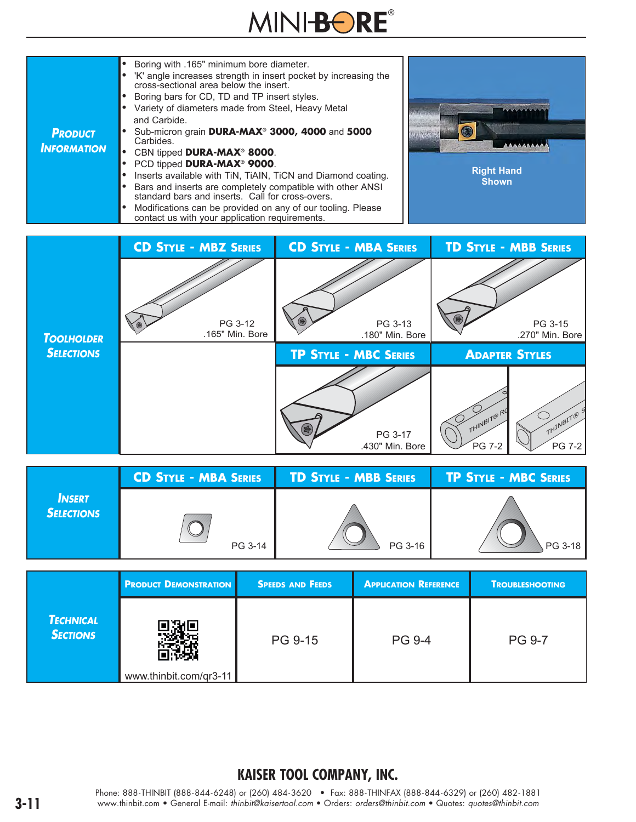# MINI-BORE®



|                             | <b>CD STYLE - MBA SERIES</b> | <b>TD STYLE - MBB SERIES</b> | <b>TP STYLE - MBC SERIES</b> |
|-----------------------------|------------------------------|------------------------------|------------------------------|
| <b>INSERT</b><br>Selections | PG 3-14                      | PG 3-16                      | 、PG 3-18丨                    |

|                                     | <b>PRODUCT DEMONSTRATION</b> | <b>SPEEDS AND FEEDS</b> | <b>APPLICATION REFERENCE</b> | <b>TROUBLESHOOTING</b> |
|-------------------------------------|------------------------------|-------------------------|------------------------------|------------------------|
| <b>TECHNICAL</b><br><b>SECTIONS</b> | www.thinbit.com/qr3-11       | PG 9-15                 | <b>PG 9-4</b>                | <b>PG 9-7</b>          |

#### **KAISER TOOL COMPANY, INC.**

Phone: 888-THINBIT (888-844-6248) or (260) 484-3620 • Fax: 888-THINFAX (888-844-6329) or (260) 482-1881 **3-11** www.thinbit.com • General E-mail: *thinbit@kaisertool.com* • Orders: *orders@thinbit.com* • Quotes: *quotes@thinbit.com*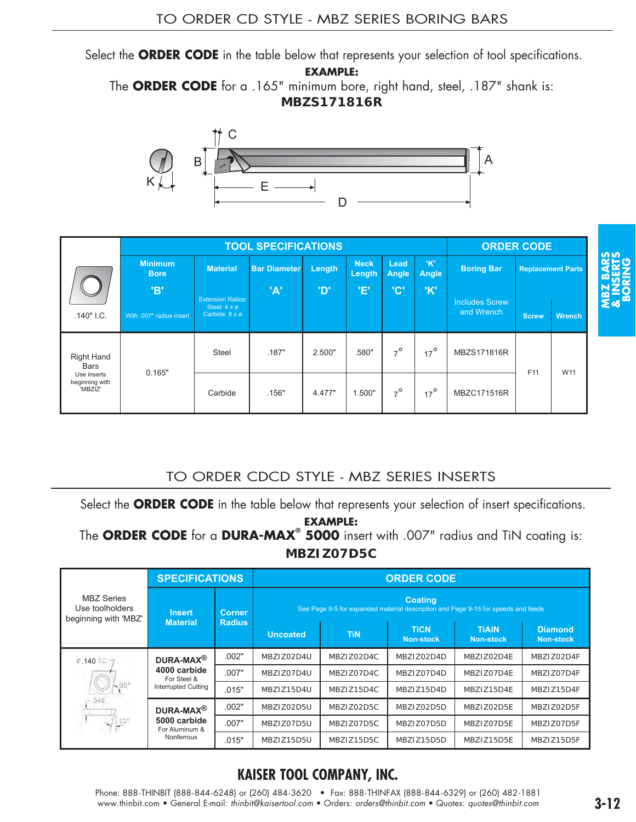Select the **ORDER CODE** in the table below that represents your selection of tool specifications.

**EXAMPLE:** 

The **ORDER CODE** for a .165" minimum bore, right hand, steel, .187" shank is:

**MBZS171816R**



|                                          |                               |                                                              | <b>TOOL SPECIFICATIONS</b> |            |                       |               |              |                       | <b>ORDER CODE</b> |                          |
|------------------------------------------|-------------------------------|--------------------------------------------------------------|----------------------------|------------|-----------------------|---------------|--------------|-----------------------|-------------------|--------------------------|
|                                          | <b>Minimum</b><br><b>Bore</b> | <b>Material</b>                                              | <b>Bar Diameter</b>        | Length     | <b>Neck</b><br>Length | Lead<br>Angle | 'K'<br>Angle | <b>Boring Bar</b>     |                   | <b>Replacement Parts</b> |
|                                          | 'В'                           | <b>Extension Ratios:</b>                                     | 'A'                        | <b>'D'</b> | Έ,                    | 'C'           | 'K'          | <b>Includes Screw</b> |                   |                          |
| $.140"$ I.C.                             | With .007" radius insert      | Steel: $4 \times \emptyset$<br>Carbide: $8 \times \emptyset$ |                            |            |                       |               |              | and Wrench            | <b>Screw</b>      | Wrench                   |
| <b>Right Hand</b><br><b>Bars</b>         | 0.165"                        | <b>Steel</b>                                                 | .187"                      | 2.500"     | .580"                 | $7^\circ$     | $17^{\circ}$ | MBZS171816R           | F11               | W11                      |
| Use inserts<br>beginning with<br>'MBZIZ' |                               | Carbide                                                      | .156"                      | 4.477"     | 1.500"                | $7^\circ$     | $17^\circ$   | MBZC171516R           |                   |                          |

#### TO ORDER CDCD STYLE - MBZ SERIES INSERTS

|                                                            | <b>Minimum</b><br><b>Bore</b>                                                                     | <b>Material</b>                                            | <b>Bar Diameter</b>                      | Length          | <b>Neck</b><br>Length | Lead<br>Angle | 'K'<br>Angle                        | <b>Boring Bar</b>                                                                 | <b>Replacement Parts</b> |                                    |
|------------------------------------------------------------|---------------------------------------------------------------------------------------------------|------------------------------------------------------------|------------------------------------------|-----------------|-----------------------|---------------|-------------------------------------|-----------------------------------------------------------------------------------|--------------------------|------------------------------------|
| .140" I.C.                                                 | 'B'<br>With .007" radius insert                                                                   | <b>Extension Ratios:</b><br>Steel: 4 x ø<br>Carbide: 8 x ø | 'A'                                      | 'D'             | 'E'                   | 'C'           | 'K'                                 | <b>Includes Screw</b><br>and Wrench                                               | <b>Screw</b>             | <b>Wrench</b>                      |
| Right Hand<br>Bars                                         | 0.165"                                                                                            | <b>Steel</b>                                               | .187"                                    | 2.500"          | .580"                 | $7^\circ$     | $17^\circ$                          | MBZS171816R                                                                       | F <sub>11</sub>          | W11                                |
| Use inserts<br>beginning with<br>'MBZIZ'                   |                                                                                                   | Carbide                                                    | .156"                                    | 4.477"          | 1.500"                | $7^\circ$     | $17^\circ$                          | MBZC171516R                                                                       |                          |                                    |
|                                                            | Select the ORDER CODE in the table below that represents your selection of insert specifications. |                                                            | TO ORDER CDCD STYLE - MBZ SERIES INSERTS | <b>EXAMPLE:</b> |                       |               |                                     |                                                                                   |                          |                                    |
|                                                            | The ORDER CODE for a DURA-MAX <sup>®</sup> 5000 insert with .007" radius and TiN coating is:      |                                                            |                                          | MBZIZ07D5C      |                       |               |                                     |                                                                                   |                          |                                    |
| <b>MBZ</b> Series<br>Use toolholders                       | <b>Insert</b>                                                                                     | <b>SPECIFICATIONS</b><br><b>Corner</b>                     |                                          |                 |                       |               | <b>ORDER CODE</b><br><b>Coating</b> | See Page 9-5 for expanded material description and Page 9-15 for speeds and feeds |                          |                                    |
|                                                            | <b>Material</b>                                                                                   | <b>Radius</b>                                              | <b>Uncoated</b>                          |                 | <b>TiN</b>            |               | <b>TICN</b><br><b>Non-stock</b>     | <b>TIAIN</b><br><b>Non-stock</b>                                                  |                          | <b>Diamond</b><br><b>Non-stock</b> |
|                                                            | DURA-MAX <sup>®</sup>                                                                             | .002"                                                      | MBZIZ02D4U                               |                 | MBZIZ02D4C            |               | MBZIZ02D4D                          | MBZIZ02D4E                                                                        |                          | MBZIZ02D4F                         |
|                                                            | 4000 carbide<br>For Steel &                                                                       | .007"                                                      | MBZIZ07D4U                               |                 | MBZIZ07D4C            |               | MBZIZ07D4D                          | MBZIZ07D4E                                                                        |                          | MBZIZ07D4F                         |
|                                                            | <b>Interrupted Cutting</b>                                                                        | .015"                                                      | MBZIZ15D4U                               |                 | MBZIZ15D4C            |               | MBZIZ15D4D                          | MBZIZ15D4E                                                                        |                          | MBZIZ15D4F                         |
|                                                            | DURA-MAX <sup>®</sup>                                                                             | .002"                                                      | MBZIZ02D5U                               |                 | MBZIZ02D5C            |               | MBZIZ02D5D                          | MBZIZ02D5E                                                                        |                          | MBZIZ02D5F                         |
| beginning with 'MBZ'<br><b>2.140 I.C.-</b><br>$15^{\circ}$ | 5000 carbide<br>For Aluminum &                                                                    | .007"                                                      | MBZIZ07D5U                               |                 | MBZIZ07D5C            |               | MBZIZ07D5D                          | MBZIZ07D5E                                                                        |                          | MBZIZ07D5F                         |

# **KAISER TOOL COMPANY, INC.**

**BORING**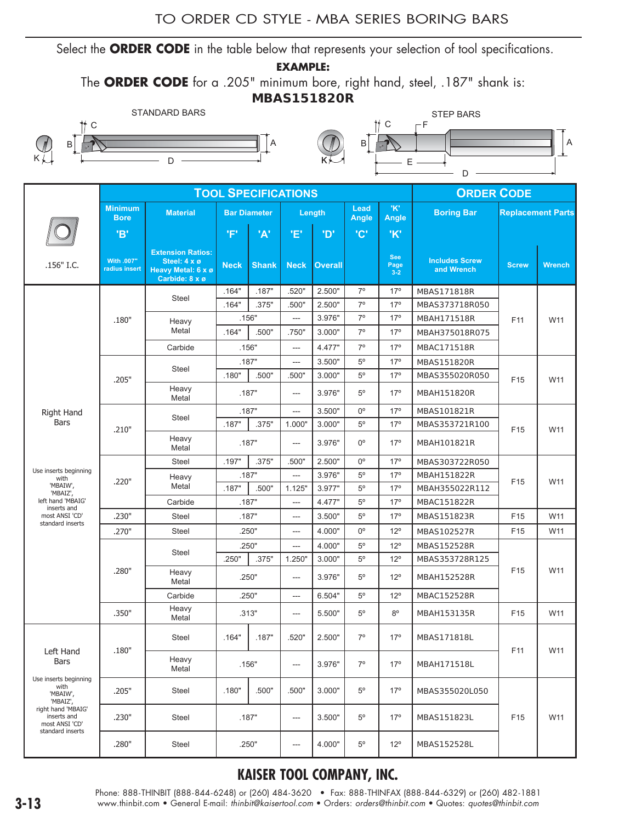#### TO ORDER CD STYLE - MBA SERIES BORING BARS

Select the **ORDER CODE** in the table below that represents your selection of tool specifications.

**EXAMPLE:** 

The **ORDER CODE** for a .205" minimum bore, right hand, steel, .187" shank is:

#### **MBAS151820R**





|                                                                         |                               |                                                                                  |             | <b>TOOL SPECIFICATIONS</b> |                          |                |               |                               | <b>ORDER CODE</b>                   |                          |               |
|-------------------------------------------------------------------------|-------------------------------|----------------------------------------------------------------------------------|-------------|----------------------------|--------------------------|----------------|---------------|-------------------------------|-------------------------------------|--------------------------|---------------|
|                                                                         | <b>Minimum</b><br><b>Bore</b> | <b>Material</b>                                                                  |             | <b>Bar Diameter</b>        |                          | Length         | Lead<br>Angle | "K"<br><b>Angle</b>           | <b>Boring Bar</b>                   | <b>Replacement Parts</b> |               |
|                                                                         | <b>'B'</b>                    |                                                                                  | 'F'         | 'A'                        | 'E'                      | <b>'D'</b>     | <b>'C'</b>    | 'K'                           |                                     |                          |               |
| .156" I.C.                                                              | With .007"<br>radius insert   | <b>Extension Ratios:</b><br>Steel: 4 x ø<br>Heavy Metal: 6 x ø<br>Carbide: 8 x ø | <b>Neck</b> | <b>Shank</b>               | <b>Neck</b>              | <b>Overall</b> |               | <b>See</b><br>Page<br>$3 - 2$ | <b>Includes Screw</b><br>and Wrench | <b>Screw</b>             | <b>Wrench</b> |
|                                                                         |                               | Steel                                                                            | .164"       | .187"                      | .520"                    | 2.500"         | $7^\circ$     | 17 <sup>°</sup>               | MBAS171818R                         |                          |               |
|                                                                         |                               |                                                                                  | .164"       | .375"                      | .500"                    | 2.500"         | $7^\circ$     | 17 <sup>°</sup>               | MBAS373718R050                      |                          |               |
|                                                                         | .180"                         | Heavy                                                                            |             | .156"                      | ---                      | 3.976"         | $7^\circ$     | 17 <sup>°</sup>               | MBAH171518R                         | F11                      | W11           |
|                                                                         |                               | Metal                                                                            | .164"       | .500"                      | .750"                    | 3.000"         | $7^\circ$     | 17 <sup>°</sup>               | MBAH375018R075                      |                          |               |
|                                                                         |                               | Carbide                                                                          |             | .156"                      | ---                      | 4.477"         | $7^\circ$     | 17 <sup>°</sup>               | MBAC171518R                         |                          |               |
|                                                                         |                               |                                                                                  |             | .187"                      | ---                      | 3.500"         | $5^{\circ}$   | 17 <sup>°</sup>               | MBAS151820R                         |                          |               |
|                                                                         | .205"                         | Steel                                                                            | .180"       | .500"                      | .500"                    | 3.000"         | $5^{\circ}$   | 17 <sup>°</sup>               | MBAS355020R050                      | F <sub>15</sub>          | W11           |
|                                                                         |                               | Heavy<br>Metal                                                                   |             | .187"                      | ---                      | 3.976"         | $5^\circ$     | 17 <sup>°</sup>               | MBAH151820R                         |                          |               |
| Right Hand                                                              |                               |                                                                                  |             | .187"                      | ---                      | 3.500"         | $0^{\circ}$   | 17 <sup>°</sup>               | MBAS101821R                         |                          |               |
| <b>Bars</b>                                                             | .210"                         | Steel                                                                            | .187"       | .375"                      | 1.000"                   | 3.000"         | $5^{\circ}$   | 17 <sup>°</sup>               | MBAS353721R100                      | F15                      | W11           |
|                                                                         |                               | Heavy<br>Metal                                                                   |             | .187"                      | ---                      | 3.976"         | $0^{\circ}$   | 17 <sup>°</sup>               | MBAH101821R                         |                          |               |
|                                                                         |                               | Steel                                                                            | .197"       | .375"                      | .500"                    | 2.500"         | $0^{\circ}$   | 17 <sup>°</sup>               | MBAS303722R050                      |                          |               |
| Use inserts beginning<br>with                                           |                               | Heavy                                                                            | .187"       |                            | $\overline{\phantom{a}}$ | 3.976"         | $5^{\circ}$   | 17 <sup>°</sup>               | MBAH151822R                         |                          |               |
| 'MBAIW',<br>'MBAIZ',                                                    | .220"                         | Metal                                                                            | .187"       | .500"                      | 1.125"                   | 3.977"         | $5^{\circ}$   | 17 <sup>°</sup>               | MBAH355022R112                      | F15                      | W11           |
| left hand 'MBAIG'<br>inserts and                                        |                               | Carbide                                                                          |             | .187"                      | ---                      | 4.477"         | $5^{\circ}$   | 17 <sup>°</sup>               | MBAC151822R                         |                          |               |
| most ANSI 'CD'                                                          | .230"                         | Steel                                                                            |             | .187"                      | $\overline{a}$           | 3.500"         | $5^{\circ}$   | 17 <sup>°</sup>               | MBAS151823R                         | F <sub>15</sub>          | W11           |
| standard inserts                                                        | .270"                         | Steel                                                                            |             | .250"                      | ---                      | 4.000"         | $0^{\circ}$   | $12^{\circ}$                  | MBAS102527R                         | F15                      | W11           |
|                                                                         |                               |                                                                                  |             | .250"                      | $\overline{\phantom{a}}$ | 4.000"         | $5^{\circ}$   | $12^{\circ}$                  | MBAS152528R                         |                          |               |
|                                                                         |                               | Steel                                                                            | .250"       | .375"                      | 1.250"                   | 3.000"         | $5^{\circ}$   | $12^{\circ}$                  | MBAS353728R125                      |                          |               |
|                                                                         | .280"                         | Heavy<br>Metal                                                                   |             | .250"                      | $\qquad \qquad \cdots$   | 3.976"         | $5^\circ$     | $12^{\circ}$                  | MBAH152528R                         | F <sub>15</sub>          | W11           |
|                                                                         |                               | Carbide                                                                          |             | .250"                      | ---                      | 6.504"         | $5^\circ$     | $12^{\circ}$                  | MBAC152528R                         |                          |               |
|                                                                         | .350"                         | Heavy<br>Metal                                                                   |             | .313"                      | $---$                    | 5.500"         | $5^{\circ}$   | $8^{\circ}$                   | MBAH153135R                         | F <sub>15</sub>          | W11           |
|                                                                         |                               | Steel                                                                            | .164"       | .187"                      | .520"                    | 2.500"         | $7^\circ$     | $17^{\circ}$                  | MBAS171818L                         |                          |               |
| Left Hand<br>Bars                                                       | .180"                         | Heavy<br>Metal                                                                   |             | .156"                      | ---                      | 3.976"         | $7^\circ$     | 17 <sup>°</sup>               | MBAH171518L                         | F11                      | W11           |
| Use inserts beginning<br>with<br>'MBAIW',<br>'MBAIZ',                   | .205"                         | Steel                                                                            | .180"       | .500"                      | .500"                    | 3.000"         | $5^{\circ}$   | $17^{\circ}$                  | MBAS355020L050                      |                          |               |
| right hand 'MBAIG'<br>inserts and<br>most ANSI 'CD'<br>standard inserts | .230"                         | Steel                                                                            |             | .187"                      | ---                      | 3.500"         | $5^\circ$     | $17^{\circ}$                  | MBAS151823L                         | F15                      | W11           |
|                                                                         | .280"                         | Steel                                                                            |             | .250"                      | ---                      | 4.000"         | $5^{\circ}$   | $12^{\circ}$                  | MBAS152528L                         |                          |               |

#### **KAISER TOOL COMPANY, INC.**

Phone: 888-THINBIT (888-844-6248) or (260) 484-3620 • Fax: 888-THINFAX (888-844-6329) or (260) 482-1881 **3-13** www.thinbit.com • General E-mail: *thinbit@kaisertool.com* • Orders: *orders@thinbit.com* • Quotes: *quotes@thinbit.com*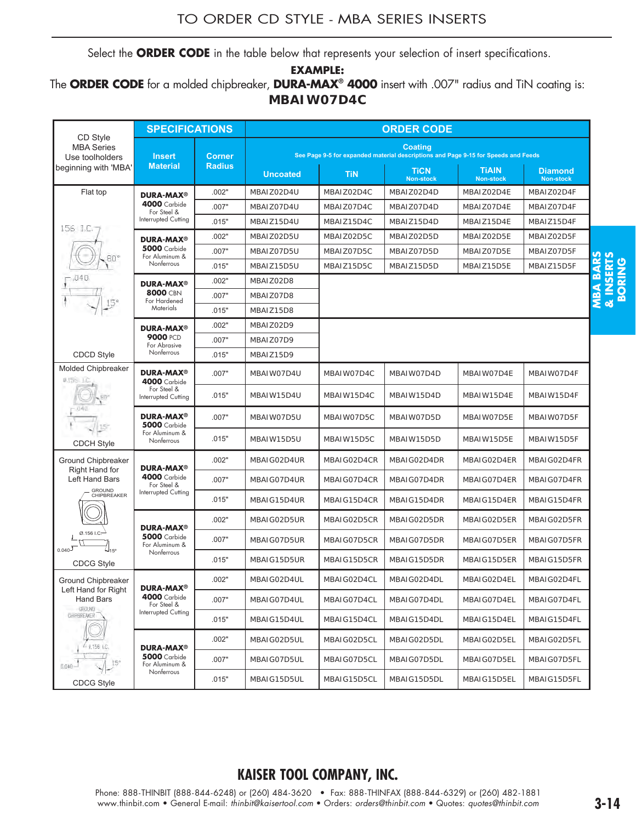Select the **ORDER CODE** in the table below that represents your selection of insert specifications.

**EXAMPLE:** 

The **ORDER CODE** for a molded chipbreaker, **DURA-MAX® 4000** insert with .007" radius and TiN coating is: **MBAIW07D4C**

|                                                   | <b>SPECIFICATIONS</b>                                     |                |                                                                                                                                             |             | <b>ORDER CODE</b>                                                                                    |                                  |                                    |                                    |
|---------------------------------------------------|-----------------------------------------------------------|----------------|---------------------------------------------------------------------------------------------------------------------------------------------|-------------|------------------------------------------------------------------------------------------------------|----------------------------------|------------------------------------|------------------------------------|
| CD Style<br><b>MBA Series</b><br>Use toolholders  | <b>Insert</b>                                             | <b>Corner</b>  |                                                                                                                                             |             | <b>Coating</b><br>See Page 9-5 for expanded material descriptions and Page 9-15 for Speeds and Feeds |                                  |                                    |                                    |
| beginning with 'MBA'                              | <b>Material</b>                                           | <b>Radius</b>  | <b>Uncoated</b>                                                                                                                             | <b>TiN</b>  | <b>TiCN</b><br><b>Non-stock</b>                                                                      | <b>TIAIN</b><br><b>Non-stock</b> | <b>Diamond</b><br><b>Non-stock</b> |                                    |
| Flat top                                          | <b>DURA-MAX®</b>                                          | .002"          | MBAIZ02D4U                                                                                                                                  | MBAIZ02D4C  | MBAIZ02D4D                                                                                           | MBAIZ02D4E                       | MBAIZ02D4F                         |                                    |
|                                                   | <b>4000</b> Carbide<br>For Steel &                        | .007"          | MBAIZ07D4U                                                                                                                                  | MBAIZ07D4C  | MBAIZ07D4D                                                                                           | MBAIZ07D4E                       | MBAIZ07D4F                         |                                    |
| 156 I.C.                                          | Interrupted Cutting                                       | .015"          | MBAIZ15D4U                                                                                                                                  | MBAIZ15D4C  | MBAIZ15D4D                                                                                           | MBAIZ15D4E                       | MBAIZ15D4F                         |                                    |
|                                                   | <b>DURA-MAX®</b>                                          | .002"          | MBAIZ02D5U                                                                                                                                  | MBAIZ02D5C  | MBAIZ02D5D                                                                                           | MBAIZ02D5E                       | MBAIZ02D5F                         |                                    |
|                                                   | <b>5000</b> Carbide<br>For Aluminum &                     | .007"          | MBAIZ07D5U                                                                                                                                  | MBAIZ07D5C  | MBAIZ07D5D                                                                                           | MBAIZ07D5E                       | MBAIZ07D5F                         |                                    |
|                                                   | Nonferrous                                                | .015"          | MBAIZ15D5U                                                                                                                                  | MBAIZ15D5C  | MBAIZ15D5D                                                                                           | MBAIZ15D5E                       | MBAIZ15D5F                         | <b>BARS</b><br>& INSERTS<br>BORING |
|                                                   | <b>DURA-MAX®</b><br><b>8000 CBN</b>                       | .002"          | MBAIZ02D8                                                                                                                                   |             |                                                                                                      |                                  |                                    |                                    |
|                                                   | For Hardened<br>Materials                                 | .007"          | MBAIZ07D8                                                                                                                                   |             |                                                                                                      |                                  |                                    |                                    |
|                                                   |                                                           | .015"          | MBAIZ15D8                                                                                                                                   |             |                                                                                                      |                                  |                                    |                                    |
|                                                   | <b>DURA-MAX®</b><br>9000 PCD                              | .002"          | MBAIZ02D9                                                                                                                                   |             |                                                                                                      |                                  |                                    |                                    |
|                                                   | For Abrasive<br>Nonferrous                                | .007"          | MBAIZ07D9                                                                                                                                   |             |                                                                                                      |                                  |                                    |                                    |
| <b>CDCD Style</b><br><b>Molded Chipbreaker</b>    | <b>DURA-MAX<sup>®</sup></b>                               | .015"<br>.007" | MBAIZ15D9<br>MBAIW07D4U                                                                                                                     | MBAIW07D4C  | MBAIW07D4D                                                                                           | MBAIW07D4E                       | MBAIW07D4F                         |                                    |
| #.15c LC                                          | <b>4000</b> Carbide<br>For Steel &<br>Interrupted Cutting | .015"          | MBAIW15D4U                                                                                                                                  | MBAIW15D4C  | MBAIW15D4D                                                                                           | MBAIW15D4E                       | MBAIW15D4F                         |                                    |
|                                                   | <b>DURA-MAX<sup>®</sup></b>                               | .007"          | MBAIW07D5U                                                                                                                                  | MBAIW07D5C  | MBAIW07D5D                                                                                           | MBAIW07D5E                       | MBAIW07D5F                         |                                    |
| <b>CDCH Style</b>                                 | <b>5000</b> Carbide<br>For Aluminum &<br>Nonferrous       | .015"          | MBAIW15D5U                                                                                                                                  | MBAIW15D5C  | MBAIW15D5D                                                                                           | MBAIW15D5E                       | MBAIW15D5F                         |                                    |
| <b>Ground Chipbreaker</b>                         | <b>DURA-MAX<sup>®</sup></b>                               | .002"          | MBAIG02D4UR                                                                                                                                 | MBAIG02D4CR | MBAIG02D4DR                                                                                          | MBAIG02D4ER                      | MBAIG02D4FR                        |                                    |
| Right Hand for<br>Left Hand Bars<br><b>GROUND</b> | <b>4000</b> Carbide<br>For Steel &                        | .007"          | MBAIG07D4UR                                                                                                                                 | MBAIG07D4CR | MBAIG07D4DR                                                                                          | MBAIG07D4ER                      | MBAIG07D4FR                        |                                    |
| CHIPBREAKER                                       | Interrupted Cutting                                       | .015"          | MBAIG15D4UR                                                                                                                                 | MBAIG15D4CR | MBAIG15D4DR                                                                                          | MBAIG15D4ER                      | MBAIG15D4FR                        |                                    |
|                                                   | <b>DURA-MAX®</b>                                          | .002"          | MBAIG02D5UR                                                                                                                                 | MBAIG02D5CR | MBAIG02D5DR                                                                                          | MBAIG02D5ER                      | MBAIG02D5FR                        |                                    |
| Ø.156 I.C.<br>$0.040$ <sup>J</sup><br>(~15°       | <b>5000</b> Carbide<br>For Aluminum &<br>Nonferrous       | .007"          | MBAIG07D5UR                                                                                                                                 | MBAIG07D5CR | MBAIG07D5DR                                                                                          | MBAIG07D5ER                      | MBAIG07D5FR                        |                                    |
| <b>CDCG Style</b>                                 |                                                           | .015"          | MBAIG15D5UR                                                                                                                                 | MBAIG15D5CR | MBAIG15D5DR                                                                                          | MBAIG15D5ER                      | MBAIG15D5FR                        |                                    |
| Ground Chipbreaker<br>Left Hand for Right         | <b>DURA-MAX®</b>                                          | .002"          | MBAIG02D4UL                                                                                                                                 | MBAIG02D4CL | MBAIG02D4DL                                                                                          | MBAIG02D4EL                      | MBAIG02D4FL                        |                                    |
| <b>Hand Bars</b><br>GROUND                        | <b>4000</b> Carbide<br>For Steel &                        | .007"          | MBAIG07D4UL                                                                                                                                 | MBAIG07D4CL | MBAIG07D4DL                                                                                          | MBAIG07D4EL                      | MBAIG07D4FL                        |                                    |
| CHPBREAKER                                        | Interrupted Cutting                                       | .015"          | MBAIG15D4UL                                                                                                                                 | MBAIG15D4CL | MBAIG15D4DL                                                                                          | MBAIG15D4EL                      | MBAIG15D4FL                        |                                    |
|                                                   | <b>DURA-MAX<sup>®</sup></b>                               | .002"          | MBAIG02D5UL                                                                                                                                 | MBAIG02D5CL | MBAIG02D5DL                                                                                          | MBAIG02D5EL                      | MBAIG02D5FL                        |                                    |
| 0.040                                             | <b>5000</b> Carbide<br>For Aluminum &<br>Nonferrous       | .007"          | MBAIG07D5UL                                                                                                                                 | MBAIG07D5CL | MBAIG07D5DL                                                                                          | MBAIG07D5EL                      | MBAIG07D5FL                        |                                    |
| <b>CDCG Style</b>                                 |                                                           | .015"          | MBAIG15D5UL                                                                                                                                 | MBAIG15D5CL | MBAIG15D5DL                                                                                          | MBAIG15D5EL                      | MBAIG15D5FL                        |                                    |
|                                                   |                                                           |                | <b>KAISER TOOL COMPANY, INC.</b><br>Phone: 888-THINBIT (888-844-6248) or (260) 484-3620 • Fax: 888-THINFAX (888-844-6329) or (260) 482-1881 |             |                                                                                                      |                                  |                                    |                                    |
|                                                   |                                                           |                | www.thinbit.com . General E-mail: thinbit@kaisertool.com . Orders: orders@thinbit.com . Quotes: quotes@thinbit.com                          |             |                                                                                                      |                                  |                                    | $3 - 14$                           |

#### **KAISER TOOL COMPANY, INC.**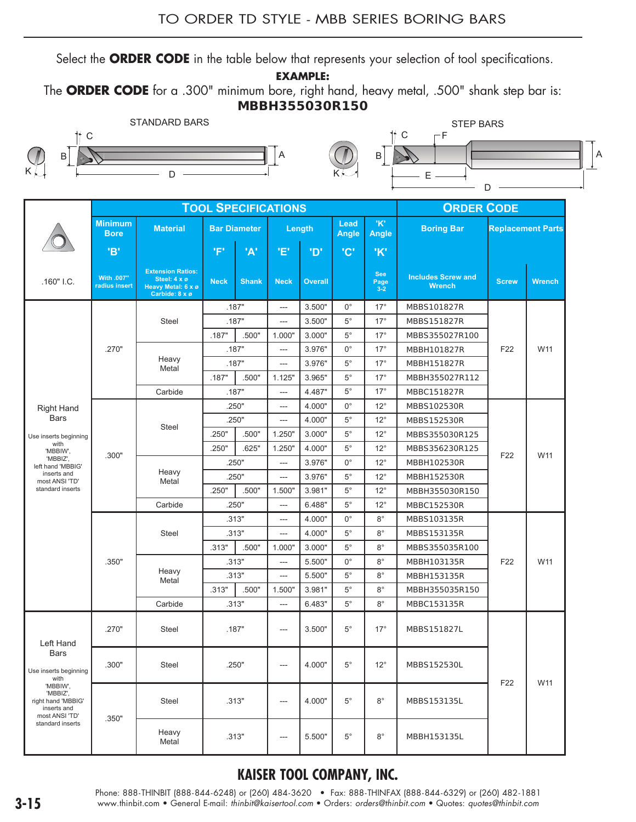Select the **ORDER CODE** in the table below that represents your selection of tool specifications.

**EXAMPLE:**

The **ORDER CODE** for a .300" minimum bore, right hand, heavy metal, .500" shank step bar is: **MBBH355030R150**





|                                                                             |                               |                                                                                  |             |                     | <b>TOOL SPECIFICATIONS</b> |                |               |                               | <b>ORDER CODE</b>                          |                 |                          |
|-----------------------------------------------------------------------------|-------------------------------|----------------------------------------------------------------------------------|-------------|---------------------|----------------------------|----------------|---------------|-------------------------------|--------------------------------------------|-----------------|--------------------------|
|                                                                             | <b>Minimum</b><br><b>Bore</b> | <b>Material</b>                                                                  |             | <b>Bar Diameter</b> | Length                     |                | Lead<br>Angle | 'K'<br>Angle                  | <b>Boring Bar</b>                          |                 | <b>Replacement Parts</b> |
|                                                                             | 'B'                           |                                                                                  | 'F'         | 'A'                 | 'E'                        | 'ס'            | 'C'           | 'K'                           |                                            |                 |                          |
| $.160"$ I.C.                                                                | With .007"<br>radius insert   | <b>Extension Ratios:</b><br>Steel: 4 x ø<br>Heavy Metal: 6 x ø<br>Carbide: 8 x ø | <b>Neck</b> | <b>Shank</b>        | <b>Neck</b>                | <b>Overall</b> |               | <b>See</b><br>Page<br>$3 - 2$ | <b>Includes Screw and</b><br><b>Wrench</b> | <b>Screw</b>    | <b>Wrench</b>            |
|                                                                             |                               |                                                                                  |             | .187"               | ---                        | 3.500"         | $0^{\circ}$   | $17^\circ$                    | MBBS101827R                                |                 |                          |
|                                                                             |                               | Steel                                                                            |             | .187"               | ---                        | 3.500"         | $5^{\circ}$   | $17^\circ$                    | MBBS151827R                                |                 |                          |
|                                                                             |                               |                                                                                  | .187"       | .500"               | 1.000"                     | 3.000"         | $5^{\circ}$   | $17^\circ$                    | MBBS355027R100                             |                 |                          |
|                                                                             | .270"                         |                                                                                  | .187"       |                     | ---                        | 3.976"         | $0^{\circ}$   | $17^\circ$                    | MBBH101827R                                | F22             | W11                      |
|                                                                             |                               | Heavy<br>Metal                                                                   |             | .187"               | ---                        | 3.976"         | $5^{\circ}$   | $17^\circ$                    | MBBH151827R                                |                 |                          |
|                                                                             |                               |                                                                                  | .187"       | .500"               | 1.125"                     | 3.965"         | $5^{\circ}$   | $17^\circ$                    | MBBH355027R112                             |                 |                          |
|                                                                             |                               | Carbide                                                                          |             | .187"               | $\qquad \qquad \cdots$     | 4.487"         | $5^{\circ}$   | $17^\circ$                    | MBBC151827R                                |                 |                          |
| <b>Right Hand</b>                                                           |                               |                                                                                  |             | .250"               | ---                        | 4.000"         | $0^{\circ}$   | $12^{\circ}$                  | MBBS102530R                                |                 |                          |
| <b>Bars</b>                                                                 |                               |                                                                                  |             | .250"               | ---                        | 4.000"         | $5^{\circ}$   | $12^{\circ}$                  | MBBS152530R                                |                 |                          |
| Use inserts beginning                                                       |                               | <b>Steel</b>                                                                     | .250"       | .500"               | 1.250"                     | 3.000"         | $5^{\circ}$   | $12^{\circ}$                  | MBBS355030R125                             |                 |                          |
| with<br>'MBBIW',                                                            |                               |                                                                                  | .250"       | .625"               | 1.250"                     | 4.000"         | $5^{\circ}$   | $12^{\circ}$                  | MBBS356230R125                             |                 |                          |
| 'MBBIZ',<br>left hand 'MBBIG'                                               | .300"                         |                                                                                  |             | .250"               | ---                        | 3.976"         | $0^{\circ}$   | $12^{\circ}$                  | MBBH102530R                                | F <sub>22</sub> | W11                      |
| inserts and<br>most ANSI 'TD'                                               |                               | Heavy<br>Metal                                                                   |             | .250"               | $\sim$                     | 3.976"         | $5^{\circ}$   | $12^{\circ}$                  | MBBH152530R                                |                 |                          |
| standard inserts                                                            |                               |                                                                                  | .250"       | .500"               | 1.500"                     | 3.981"         | $5^{\circ}$   | $12^{\circ}$                  | MBBH355030R150                             |                 |                          |
|                                                                             |                               | Carbide                                                                          |             | .250"               | $\overline{a}$             | 6.488"         | $5^{\circ}$   | $12^{\circ}$                  | MBBC152530R                                |                 |                          |
|                                                                             |                               |                                                                                  |             | .313"               | ---                        | 4.000"         | $0^{\circ}$   | $8^{\circ}$                   | MBBS103135R                                |                 |                          |
|                                                                             |                               | Steel                                                                            |             | .313"               | ---                        | 4.000"         | $5^{\circ}$   | $8^{\circ}$                   | MBBS153135R                                |                 |                          |
|                                                                             |                               |                                                                                  | .313"       | .500"               | 1.000"                     | 3.000"         | $5^{\circ}$   | $8^{\circ}$                   | MBBS355035R100                             |                 |                          |
|                                                                             | .350"                         |                                                                                  |             | .313"               | ---                        | 5.500"         | $0^{\circ}$   | $8^{\circ}$                   | MBBH103135R                                | F <sub>22</sub> | W11                      |
|                                                                             |                               | Heavy                                                                            |             | .313"               | $\overline{\phantom{a}}$   | 5.500"         | $5^{\circ}$   | $8^{\circ}$                   | MBBH153135R                                |                 |                          |
|                                                                             |                               | Metal                                                                            | .313"       | .500"               | 1.500"                     | 3.981"         | $5^{\circ}$   | $8^{\circ}$                   | MBBH355035R150                             |                 |                          |
|                                                                             |                               | Carbide                                                                          |             | .313"               | ---                        | 6.483"         | $5^{\circ}$   | $8^{\circ}$                   | MBBC153135R                                |                 |                          |
| Left Hand                                                                   | .270"                         | Steel                                                                            |             | .187"               | $\qquad \qquad -\qquad$    | 3.500"         | $5^{\circ}$   | $17^\circ$                    | MBBS151827L                                |                 |                          |
| <b>Bars</b><br>Use inserts beginning<br>with                                | .300"                         | Steel                                                                            |             | .250"               | $\qquad \qquad -\qquad$    | 4.000"         | $5^{\circ}$   | $12^{\circ}$                  | MBBS152530L                                | F22             | W11                      |
| 'MBBIW',<br>'MBBIZ',<br>right hand 'MBBIG'<br>inserts and<br>most ANSI 'TD' | .350"                         | Steel                                                                            |             | .313"               | $\qquad \qquad -\qquad$    | 4.000"         | $5^{\circ}$   | $8^{\circ}$                   | MBBS153135L                                |                 |                          |
| standard inserts                                                            |                               | Heavy<br>Metal                                                                   |             | .313"               | $\qquad \qquad -\qquad$    | 5.500"         | $5^{\circ}$   | $8^{\circ}$                   | MBBH153135L                                |                 |                          |

#### **KAISER TOOL COMPANY, INC.**

Phone: 888-THINBIT (888-844-6248) or (260) 484-3620 • Fax: 888-THINFAX (888-844-6329) or (260) 482-1881 **3-15** www.thinbit.com • General E-mail: *thinbit@kaisertool.com* • Orders: *orders@thinbit.com* • Quotes: *quotes@thinbit.com*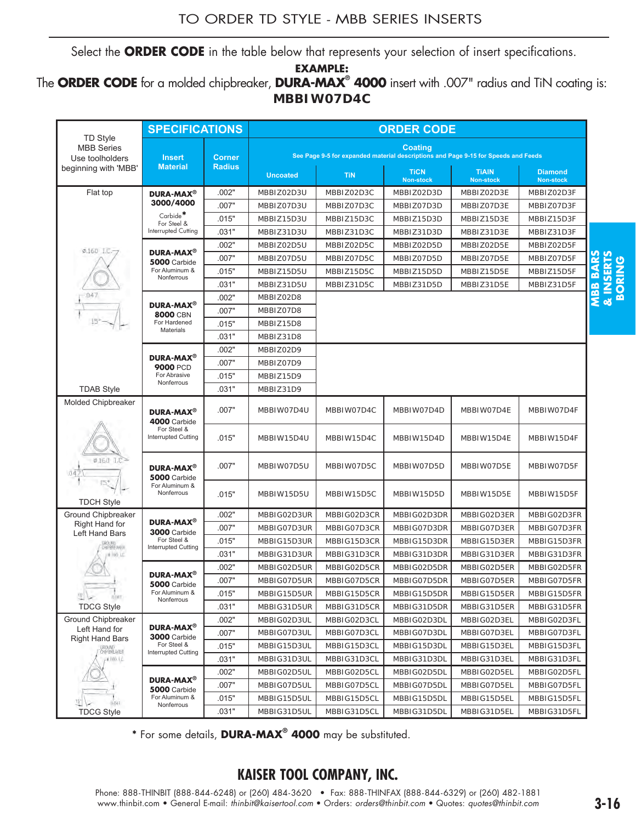Select the **ORDER CODE** in the table below that represents your selection of insert specifications.

**EXAMPLE:** 

#### The **ORDER CODE** for a molded chipbreaker, **DURA-MAX® 4000** insert with .007" radius and TiN coating is: **MBBIW07D4C**

|                                                         | <b>SPECIFICATIONS</b>                              |               |                                                                                                                                                                                                                               |             | <b>ORDER CODE</b>                                                                                    |                                  |                                    |                                            |
|---------------------------------------------------------|----------------------------------------------------|---------------|-------------------------------------------------------------------------------------------------------------------------------------------------------------------------------------------------------------------------------|-------------|------------------------------------------------------------------------------------------------------|----------------------------------|------------------------------------|--------------------------------------------|
| <b>TD Style</b><br><b>MBB</b> Series<br>Use toolholders | <b>Insert</b>                                      | <b>Corner</b> |                                                                                                                                                                                                                               |             | <b>Coating</b><br>See Page 9-5 for expanded material descriptions and Page 9-15 for Speeds and Feeds |                                  |                                    |                                            |
| beginning with 'MBB'                                    | <b>Material</b>                                    | <b>Radius</b> | <b>Uncoated</b>                                                                                                                                                                                                               | <b>TiN</b>  | <b>TiCN</b><br><b>Non-stock</b>                                                                      | <b>TIAIN</b><br><b>Non-stock</b> | <b>Diamond</b><br><b>Non-stock</b> |                                            |
| Flat top                                                | <b>DURA-MAX<sup>®</sup></b>                        | .002"         | MBBIZ02D3U                                                                                                                                                                                                                    | MBBIZ02D3C  | MBBIZ02D3D                                                                                           | MBBIZ02D3E                       | MBBIZ02D3F                         |                                            |
|                                                         | 3000/4000                                          | .007"         | MBBIZ07D3U                                                                                                                                                                                                                    | MBBIZ07D3C  | MBBIZ07D3D                                                                                           | MBBIZ07D3E                       | MBBIZ07D3F                         |                                            |
|                                                         | Carbide*<br>For Steel &                            | .015"         | MBBIZ15D3U                                                                                                                                                                                                                    | MBBIZ15D3C  | MBBIZ15D3D                                                                                           | MBBIZ15D3E                       | MBBIZ15D3F                         |                                            |
|                                                         | Interrupted Cutting                                | .031"         | MBBIZ31D3U                                                                                                                                                                                                                    | MBBIZ31D3C  | MBBIZ31D3D                                                                                           | MBBIZ31D3E                       | MBBIZ31D3F                         |                                            |
| $0.160$ $10 -$                                          |                                                    | .002"         | MBBIZ02D5U                                                                                                                                                                                                                    | MBBIZ02D5C  | MBBIZ02D5D                                                                                           | MBBIZ02D5E                       | MBBIZ02D5F                         |                                            |
|                                                         | <b>DURA-MAX<sup>®</sup></b><br><b>5000 Carbide</b> | .007"         | MBBIZ07D5U                                                                                                                                                                                                                    | MBBIZ07D5C  | MBBIZ07D5D                                                                                           | MBBIZ07D5E                       | MBBIZ07D5F                         | <b>BARS</b><br><b>A INSERTS<br/>BORING</b> |
|                                                         | For Aluminum &<br>Nonferrous                       | .015"         | MBBIZ15D5U                                                                                                                                                                                                                    | MBBIZ15D5C  | MBBIZ15D5D                                                                                           | MBBIZ15D5E                       | MBBIZ15D5F                         |                                            |
|                                                         |                                                    | .031"         | MBBIZ31D5U                                                                                                                                                                                                                    | MBBIZ31D5C  | MBBIZ31D5D                                                                                           | MBBIZ31D5E                       | MBBIZ31D5F                         |                                            |
| .047                                                    | DURA-MAX <sup>®</sup>                              | .002"         | MBBIZ02D8                                                                                                                                                                                                                     |             |                                                                                                      |                                  |                                    | MBB                                        |
|                                                         | <b>8000 CBN</b>                                    | .007"         | MBBIZ07D8                                                                                                                                                                                                                     |             |                                                                                                      |                                  |                                    |                                            |
|                                                         | For Hardened<br><b>Materials</b>                   | .015"         | MBBIZ15D8                                                                                                                                                                                                                     |             |                                                                                                      |                                  |                                    |                                            |
|                                                         |                                                    | .031"         | MBBIZ31D8                                                                                                                                                                                                                     |             |                                                                                                      |                                  |                                    |                                            |
|                                                         | <b>DURA-MAX<sup>®</sup></b>                        | .002"         | MBBIZ02D9                                                                                                                                                                                                                     |             |                                                                                                      |                                  |                                    |                                            |
|                                                         | <b>9000 PCD</b>                                    | .007"         | MBBIZ07D9                                                                                                                                                                                                                     |             |                                                                                                      |                                  |                                    |                                            |
|                                                         | For Abrasive<br>Nonferrous                         | .015"         | MBBIZ15D9                                                                                                                                                                                                                     |             |                                                                                                      |                                  |                                    |                                            |
| <b>TDAB Style</b>                                       |                                                    | .031"         | MBBIZ31D9                                                                                                                                                                                                                     |             |                                                                                                      |                                  |                                    |                                            |
| <b>Molded Chipbreaker</b>                               | DURA-MAX <sup>®</sup><br><b>4000 Carbide</b>       | .007"         | MBBIW07D4U                                                                                                                                                                                                                    | MBBIW07D4C  | MBBIW07D4D                                                                                           | MBBIW07D4E                       | MBBIW07D4F                         |                                            |
|                                                         | For Steel &<br><b>Interrupted Cutting</b>          | .015"         | MBBIW15D4U                                                                                                                                                                                                                    | MBBIW15D4C  | MBBIW15D4D                                                                                           | MBBIW15D4E                       | MBBIW15D4F                         |                                            |
|                                                         | <b>DURA-MAX<sup>®</sup></b><br><b>5000 Carbide</b> | .007"         | MBBIW07D5U                                                                                                                                                                                                                    | MBBIW07D5C  | MBBIW07D5D                                                                                           | MBBIW07D5E                       | MBBIW07D5F                         |                                            |
| 15°<br><b>TDCH Style</b>                                | For Aluminum &<br>Nonferrous                       | .015"         | MBBIW15D5U                                                                                                                                                                                                                    | MBBIW15D5C  | MBBIW15D5D                                                                                           | MBBIW15D5E                       | MBBIW15D5F                         |                                            |
| Ground Chipbreaker                                      |                                                    | .002"         | MBBIG02D3UR                                                                                                                                                                                                                   | MBBIG02D3CR | MBBIG02D3DR                                                                                          | MBBIG02D3ER                      | MBBIG02D3FR                        |                                            |
| Right Hand for                                          | DURA-MAX <sup>®</sup><br><b>3000 Carbide</b>       | .007"         | MBBIG07D3UR                                                                                                                                                                                                                   | MBBIG07D3CR | MBBIG07D3DR                                                                                          | MBBIG07D3ER                      | MBBIG07D3FR                        |                                            |
| Left Hand Bars<br><b>CROLING</b><br>CHIPERE AVOIN       | For Steel &                                        | .015"         | MBBIG15D3UR                                                                                                                                                                                                                   | MBBIG15D3CR | MBBIG15D3DR                                                                                          | MBBIG15D3ER                      | MBBIG15D3FR                        |                                            |
| 单 160 工厂                                                | <b>Interrupted Cutting</b>                         | .031"         | MBBIG31D3UR                                                                                                                                                                                                                   | MBBIG31D3CR | MBBIG31D3DR                                                                                          | MBBIG31D3ER                      | MBBIG31D3FR                        |                                            |
|                                                         |                                                    | .002"         | MBBIG02D5UR                                                                                                                                                                                                                   | MBBIG02D5CR | MBBIG02D5DR                                                                                          | MBBIG02D5ER                      | MBBIG02D5FR                        |                                            |
|                                                         | <b>DURA-MAX<sup>®</sup></b><br>5000 Carbide        | .007"         | MBBIG07D5UR                                                                                                                                                                                                                   | MBBIG07D5CR | MBBIG07D5DR                                                                                          | MBBIG07D5ER                      | MBBIG07D5FR                        |                                            |
| 图》<br>nown.                                             | For Aluminum &<br>Nonferrous                       | .015"         | MBBIG15D5UR                                                                                                                                                                                                                   | MBBIG15D5CR | MBBIG15D5DR                                                                                          | MBBIG15D5ER                      | MBBIG15D5FR                        |                                            |
| <b>TDCG Style</b>                                       |                                                    | .031"         | MBBIG31D5UR                                                                                                                                                                                                                   | MBBIG31D5CR | MBBIG31D5DR                                                                                          | MBBIG31D5ER                      | MBBIG31D5FR                        |                                            |
| <b>Ground Chipbreaker</b>                               | DURA-MAX <sup>®</sup>                              | .002"         | MBBIG02D3UL                                                                                                                                                                                                                   | MBBIG02D3CL | MBBIG02D3DL                                                                                          | MBBIG02D3EL                      | MBBIG02D3FL                        |                                            |
| Left Hand for<br><b>Right Hand Bars</b>                 | <b>3000 Carbide</b>                                | .007"         | MBBIG07D3UL                                                                                                                                                                                                                   | MBBIG07D3CL | MBBIG07D3DL                                                                                          | MBBIG07D3EL                      | MBBIG07D3FL                        |                                            |
| GROUND<br>CHPBREAKER                                    | For Steel &<br><b>Interrupted Cutting</b>          | .015"         | MBBIG15D3UL                                                                                                                                                                                                                   | MBBIG15D3CL | MBBIG15D3DL                                                                                          | MBBIG15D3EL                      | MBBIG15D3FL                        |                                            |
| $-0.160, 1.0$                                           |                                                    | .031"         | MBBIG31D3UL                                                                                                                                                                                                                   | MBBIG31D3CL | MBBIG31D3DL                                                                                          | MBBIG31D3EL                      | MBBIG31D3FL                        |                                            |
|                                                         | <b>DURA-MAX®</b>                                   | .002"         | MBBIG02D5UL                                                                                                                                                                                                                   | MBBIG02D5CL | MBBIG02D5DL                                                                                          | MBBIG02D5EL                      | MBBIG02D5FL                        |                                            |
|                                                         | <b>5000 Carbide</b>                                | .007"         | MBBIG07D5UL                                                                                                                                                                                                                   | MBBIG07D5CL | MBBIG07D5DL                                                                                          | MBBIG07D5EL                      | MBBIG07D5FL                        |                                            |
| 1-047                                                   | For Aluminum &<br>Nonferrous                       | .015"         | MBBIG15D5UL                                                                                                                                                                                                                   | MBBIG15D5CL | MBBIG15D5DL                                                                                          | MBBIG15D5EL                      | MBBIG15D5FL                        |                                            |
| <b>TDCG Style</b>                                       |                                                    | .031"         | MBBIG31D5UL                                                                                                                                                                                                                   | MBBIG31D5CL | MBBIG31D5DL                                                                                          | MBBIG31D5EL                      | MBBIG31D5FL                        |                                            |
|                                                         |                                                    |               | * For some details, DURA-MAX <sup>®</sup> 4000 may be substituted.<br><b>KAISER TOOL COMPANY, INC.</b>                                                                                                                        |             |                                                                                                      |                                  |                                    |                                            |
|                                                         |                                                    |               | Phone: 888-THINBIT (888-844-6248) or (260) 484-3620 • Fax: 888-THINFAX (888-844-6329) or (260) 482-1881<br>www.thinbit.com • General E-mail: thinbit@kaisertool.com • Orders: orders@thinbit.com • Quotes: quotes@thinbit.com |             |                                                                                                      |                                  |                                    | $3 - 16$                                   |

# **KAISER TOOL COMPANY, INC.**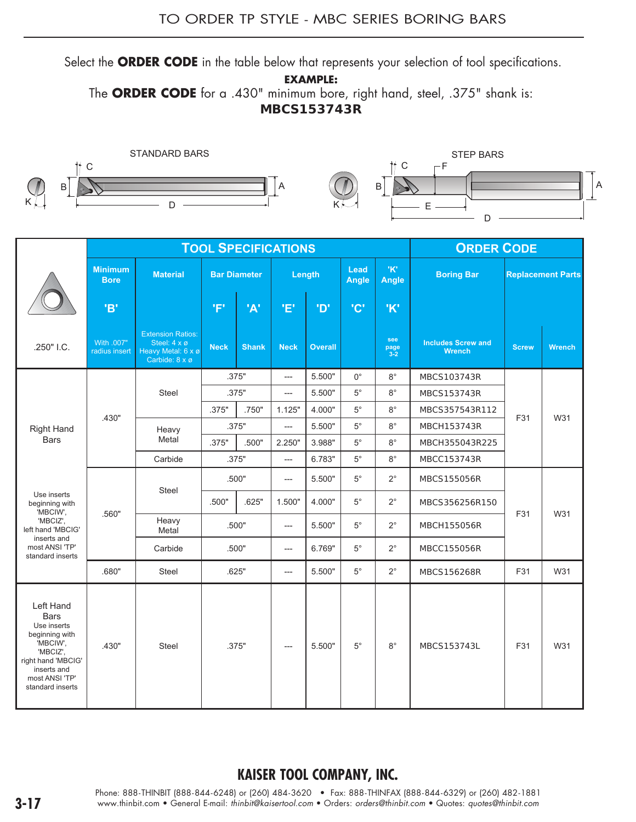Select the **ORDER CODE** in the table below that represents your selection of tool specifications.

**EXAMPLE:** 

The **ORDER CODE** for a .430" minimum bore, right hand, steel, .375" shank is: **MBCS153743R**



|                                                                                                                                                              |                               |                                                                                  |             |                     | <b>TOOL SPECIFICATIONS</b> |                |               |                        | <b>ORDER CODE</b>                          |              |                          |
|--------------------------------------------------------------------------------------------------------------------------------------------------------------|-------------------------------|----------------------------------------------------------------------------------|-------------|---------------------|----------------------------|----------------|---------------|------------------------|--------------------------------------------|--------------|--------------------------|
|                                                                                                                                                              | <b>Minimum</b><br><b>Bore</b> | <b>Material</b>                                                                  |             | <b>Bar Diameter</b> |                            | Length         | Lead<br>Angle | 'K'<br><b>Angle</b>    | <b>Boring Bar</b>                          |              | <b>Replacement Parts</b> |
|                                                                                                                                                              | 'B'                           |                                                                                  | 'F'         | 'A'                 | 'E'                        | <b>'D'</b>     | 'C'           | 'K'                    |                                            |              |                          |
| .250" I.C.                                                                                                                                                   | With .007"<br>radius insert   | <b>Extension Ratios:</b><br>Steel: 4 x ø<br>Heavy Metal: 6 x ø<br>Carbide: 8 x ø | <b>Neck</b> | <b>Shank</b>        | <b>Neck</b>                | <b>Overall</b> |               | see<br>page<br>$3 - 2$ | <b>Includes Screw and</b><br><b>Wrench</b> | <b>Screw</b> | <b>Wrench</b>            |
|                                                                                                                                                              |                               |                                                                                  |             | .375"               | ---                        | 5.500"         | $0^{\circ}$   | $8^{\circ}$            | MBCS103743R                                |              |                          |
|                                                                                                                                                              |                               | Steel                                                                            |             | .375"               | ---                        | 5.500"         | $5^{\circ}$   | $8^{\circ}$            | <b>MBCS153743R</b>                         |              |                          |
|                                                                                                                                                              | .430"                         |                                                                                  | .375"       | .750"               | 1.125"                     | 4.000"         | $5^{\circ}$   | $8^{\circ}$            | MBCS357543R112                             | F31          | W31                      |
| <b>Right Hand</b>                                                                                                                                            |                               | Heavy                                                                            |             | .375"               | ---                        | 5.500"         | $5^{\circ}$   | $8^{\circ}$            | MBCH153743R                                |              |                          |
| <b>Bars</b>                                                                                                                                                  |                               | Metal                                                                            | .375"       | .500"               | 2.250"                     | 3.988"         | $5^{\circ}$   | $8^{\circ}$            | MBCH355043R225                             |              |                          |
|                                                                                                                                                              |                               | Carbide                                                                          |             | .375"               | $---$                      | 6.783"         | $5^{\circ}$   | $8^{\circ}$            | MBCC153743R                                |              |                          |
|                                                                                                                                                              |                               | <b>Steel</b>                                                                     |             | .500"               | ---                        | 5.500"         | $5^{\circ}$   | $2^{\circ}$            | <b>MBCS155056R</b>                         |              |                          |
| Use inserts<br>beginning with<br>'MBCIW',                                                                                                                    | .560"                         |                                                                                  | .500"       | .625"               | 1.500"                     | 4.000"         | $5^\circ$     | $2^{\circ}$            | MBCS356256R150                             | F31          | W31                      |
| 'MBCIZ',<br>left hand 'MBCIG'<br>inserts and                                                                                                                 |                               | Heavy<br>Metal                                                                   |             | .500"               | ---                        | 5.500"         | $5^{\circ}$   | $2^{\circ}$            | <b>MBCH155056R</b>                         |              |                          |
| most ANSI 'TP'<br>standard inserts                                                                                                                           |                               | Carbide                                                                          |             | .500"               | ---                        | 6.769"         | $5^{\circ}$   | $2^{\circ}$            | MBCC155056R                                |              |                          |
|                                                                                                                                                              | .680"                         | <b>Steel</b>                                                                     |             | .625"               | ---                        | 5.500"         | $5^\circ$     | $2^{\circ}$            | MBCS156268R                                | F31          | W31                      |
| Left Hand<br><b>Bars</b><br>Use inserts<br>beginning with<br>'MBCIW',<br>'MBCIZ',<br>right hand 'MBCIG'<br>inserts and<br>most ANSI 'TP'<br>standard inserts | .430"                         | <b>Steel</b>                                                                     |             | .375"               | ---                        | 5.500"         | $5^\circ$     | $8^{\circ}$            | MBCS153743L                                | F31          | W31                      |

### **KAISER TOOL COMPANY, INC.**

Phone: 888-THINBIT (888-844-6248) or (260) 484-3620 • Fax: 888-THINFAX (888-844-6329) or (260) 482-1881 **3-17** www.thinbit.com • General E-mail: *thinbit@kaisertool.com* • Orders: *orders@thinbit.com* • Quotes: *quotes@thinbit.com*